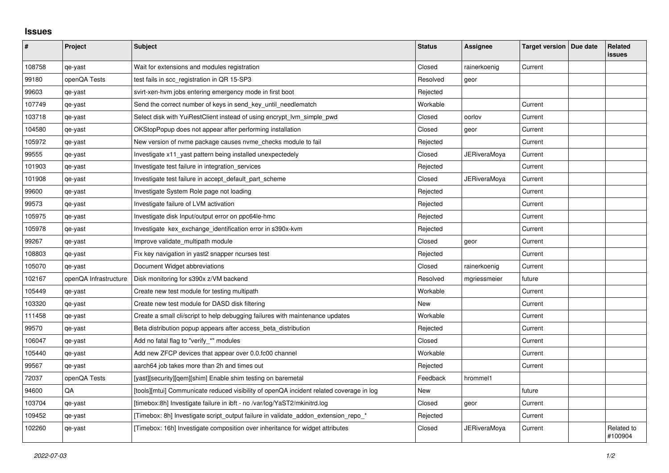## **Issues**

| $\sharp$ | Project               | <b>Subject</b>                                                                          | <b>Status</b> | Assignee            | Target version   Due date | Related<br><b>issues</b> |
|----------|-----------------------|-----------------------------------------------------------------------------------------|---------------|---------------------|---------------------------|--------------------------|
| 108758   | qe-yast               | Wait for extensions and modules registration                                            | Closed        | rainerkoenig        | Current                   |                          |
| 99180    | openQA Tests          | test fails in scc_registration in QR 15-SP3                                             | Resolved      | geor                |                           |                          |
| 99603    | qe-yast               | svirt-xen-hvm jobs entering emergency mode in first boot                                | Rejected      |                     |                           |                          |
| 107749   | qe-yast               | Send the correct number of keys in send key until needlematch                           | Workable      |                     | Current                   |                          |
| 103718   | qe-yast               | Select disk with YuiRestClient instead of using encrypt Ivm simple pwd                  | Closed        | oorlov              | Current                   |                          |
| 104580   | qe-yast               | OKStopPopup does not appear after performing installation                               | Closed        | geor                | Current                   |                          |
| 105972   | qe-yast               | New version of nyme package causes nyme checks module to fail                           | Rejected      |                     | Current                   |                          |
| 99555    | qe-yast               | Investigate x11_yast pattern being installed unexpectedely                              | Closed        | JERiveraMoya        | Current                   |                          |
| 101903   | qe-yast               | Investigate test failure in integration services                                        | Rejected      |                     | Current                   |                          |
| 101908   | qe-yast               | Investigate test failure in accept_default_part_scheme                                  | Closed        | JERiveraMoya        | Current                   |                          |
| 99600    | qe-yast               | Investigate System Role page not loading                                                | Rejected      |                     | Current                   |                          |
| 99573    | qe-yast               | Investigate failure of LVM activation                                                   | Rejected      |                     | Current                   |                          |
| 105975   | qe-yast               | Investigate disk Input/output error on ppc64le-hmc                                      | Rejected      |                     | Current                   |                          |
| 105978   | qe-yast               | Investigate kex_exchange_identification error in s390x-kvm                              | Rejected      |                     | Current                   |                          |
| 99267    | qe-yast               | Improve validate multipath module                                                       | Closed        | geor                | Current                   |                          |
| 108803   | qe-yast               | Fix key navigation in yast2 snapper ncurses test                                        | Rejected      |                     | Current                   |                          |
| 105070   | qe-yast               | Document Widget abbreviations                                                           | Closed        | rainerkoenig        | Current                   |                          |
| 102167   | openQA Infrastructure | Disk monitoring for s390x z/VM backend                                                  | Resolved      | mgriessmeier        | future                    |                          |
| 105449   | qe-yast               | Create new test module for testing multipath                                            | Workable      |                     | Current                   |                          |
| 103320   | qe-yast               | Create new test module for DASD disk filtering                                          | <b>New</b>    |                     | Current                   |                          |
| 111458   | qe-yast               | Create a small cli/script to help debugging failures with maintenance updates           | Workable      |                     | Current                   |                          |
| 99570    | qe-yast               | Beta distribution popup appears after access_beta_distribution                          | Rejected      |                     | Current                   |                          |
| 106047   | qe-yast               | Add no fatal flag to "verify_*" modules                                                 | Closed        |                     | Current                   |                          |
| 105440   | qe-yast               | Add new ZFCP devices that appear over 0.0.fc00 channel                                  | Workable      |                     | Current                   |                          |
| 99567    | qe-yast               | aarch64 job takes more than 2h and times out                                            | Rejected      |                     | Current                   |                          |
| 72037    | openQA Tests          | [yast][security][qem][shim] Enable shim testing on baremetal                            | Feedback      | hrommel1            |                           |                          |
| 94600    | QA                    | [tools][mtui] Communicate reduced visibility of openQA incident related coverage in log | New           |                     | future                    |                          |
| 103704   | qe-yast               | [timebox:8h] Investigate failure in ibft - no /var/log/YaST2/mkinitrd.log               | Closed        | geor                | Current                   |                          |
| 109452   | qe-yast               | [Timebox: 8h] Investigate script_output failure in validate_addon_extension_repo_*      | Rejected      |                     | Current                   |                          |
| 102260   | qe-yast               | [Timebox: 16h] Investigate composition over inheritance for widget attributes           | Closed        | <b>JERiveraMoya</b> | Current                   | Related to<br>#100904    |